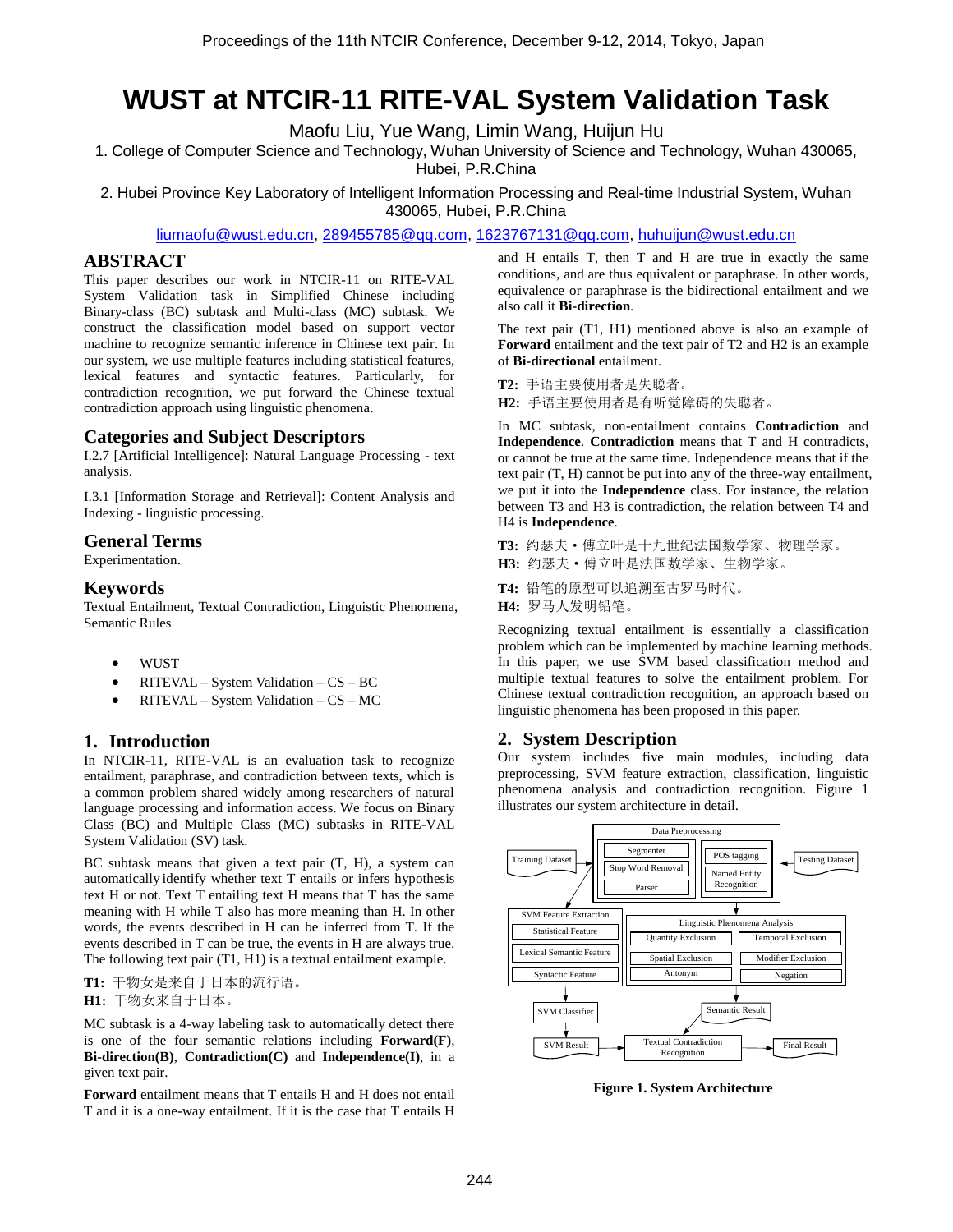# **WUST at NTCIR-11 RITE-VAL System Validation Task**

Maofu Liu, Yue Wang, Limin Wang, Huijun Hu

1. College of Computer Science and Technology, Wuhan University of Science and Technology, Wuhan 430065, Hubei, P.R.China

2. Hubei Province Key Laboratory of Intelligent Information Processing and Real-time Industrial System, Wuhan 430065, Hubei, P.R.China

[liumaofu@wust.edu.cn,](mailto:liumaofu@wust.edu.cn) [289455785@qq.com,](mailto:289455785@qq.com) 1623767131@qq.com, huhuijun@wust.edu.cn

## **ABSTRACT**

This paper describes our work in NTCIR-11 on RITE-VAL System Validation task in Simplified Chinese including Binary-class (BC) subtask and Multi-class (MC) subtask. We construct the classification model based on support vector machine to recognize semantic inference in Chinese text pair. In our system, we use multiple features including statistical features, lexical features and syntactic features. Particularly, for contradiction recognition, we put forward the Chinese textual contradiction approach using linguistic phenomena.

## **Categories and Subject Descriptors**

I.2.7 [Artificial Intelligence]: Natural Language Processing - text analysis.

I.3.1 [Information Storage and Retrieval]: Content Analysis and Indexing - linguistic processing.

## **General Terms**

Experimentation.

## **Keywords**

Textual Entailment, Textual Contradiction, Linguistic Phenomena, Semantic Rules

- **WUST**
- RITEVAL System Validation CS BC
- RITEVAL System Validation CS MC

# **1. Introduction**

In NTCIR-11, RITE-VAL is an evaluation task to recognize entailment, paraphrase, and contradiction between texts, which is a common problem shared widely among researchers of natural language processing and information access. We focus on Binary Class (BC) and Multiple Class (MC) subtasks in RITE-VAL System Validation (SV) task.

BC subtask means that given a text pair (T, H), a system can automatically identify whether text T entails or infers hypothesis text H or not. Text T entailing text H means that T has the same meaning with H while T also has more meaning than H. In other words, the events described in H can be inferred from T. If the events described in T can be true, the events in H are always true. The following text pair (T1, H1) is a textual entailment example.

**T1:** 干物女是来自于日本的流行语。

**H1:** 干物女来自于日本。

MC subtask is a 4-way labeling task to automatically detect there is one of the four semantic relations including **Forward(F)**, **Bi-direction(B)**, **Contradiction(C)** and **Independence(I)**, in a given text pair.

**Forward** entailment means that T entails H and H does not entail T and it is a one-way entailment. If it is the case that T entails H and H entails T, then T and H are true in exactly the same conditions, and are thus equivalent or paraphrase. In other words, equivalence or paraphrase is the bidirectional entailment and we also call it **Bi-direction**.

The text pair (T1, H1) mentioned above is also an example of **Forward** entailment and the text pair of T2 and H2 is an example of **Bi-directional** entailment.

**T2:** 手语主要使用者是失聪者。 **H2:** 手语主要使用者是有听觉障碍的失聪者。

In MC subtask, non-entailment contains **Contradiction** and **Independence**. **Contradiction** means that T and H contradicts, or cannot be true at the same time. Independence means that if the text pair (T, H) cannot be put into any of the three-way entailment, we put it into the **Independence** class. For instance, the relation between T3 and H3 is contradiction, the relation between T4 and H4 is **Independence**.

**T3:** 约瑟夫·傅立叶是十九世纪法国数学家、物理学家。 **H3:** 约瑟夫·傅立叶是法国数学家、生物学家。

**T4:** 铅笔的原型可以追溯至古罗马时代。

**H4:** 罗马人发明铅笔。

Recognizing textual entailment is essentially a classification problem which can be implemented by machine learning methods. In this paper, we use SVM based classification method and multiple textual features to solve the entailment problem. For Chinese textual contradiction recognition, an approach based on linguistic phenomena has been proposed in this paper.

## **2. System Description**

Our system includes five main modules, including data preprocessing, SVM feature extraction, classification, linguistic phenomena analysis and contradiction recognition. Figure 1 illustrates our system architecture in detail.



**Figure 1. System Architecture**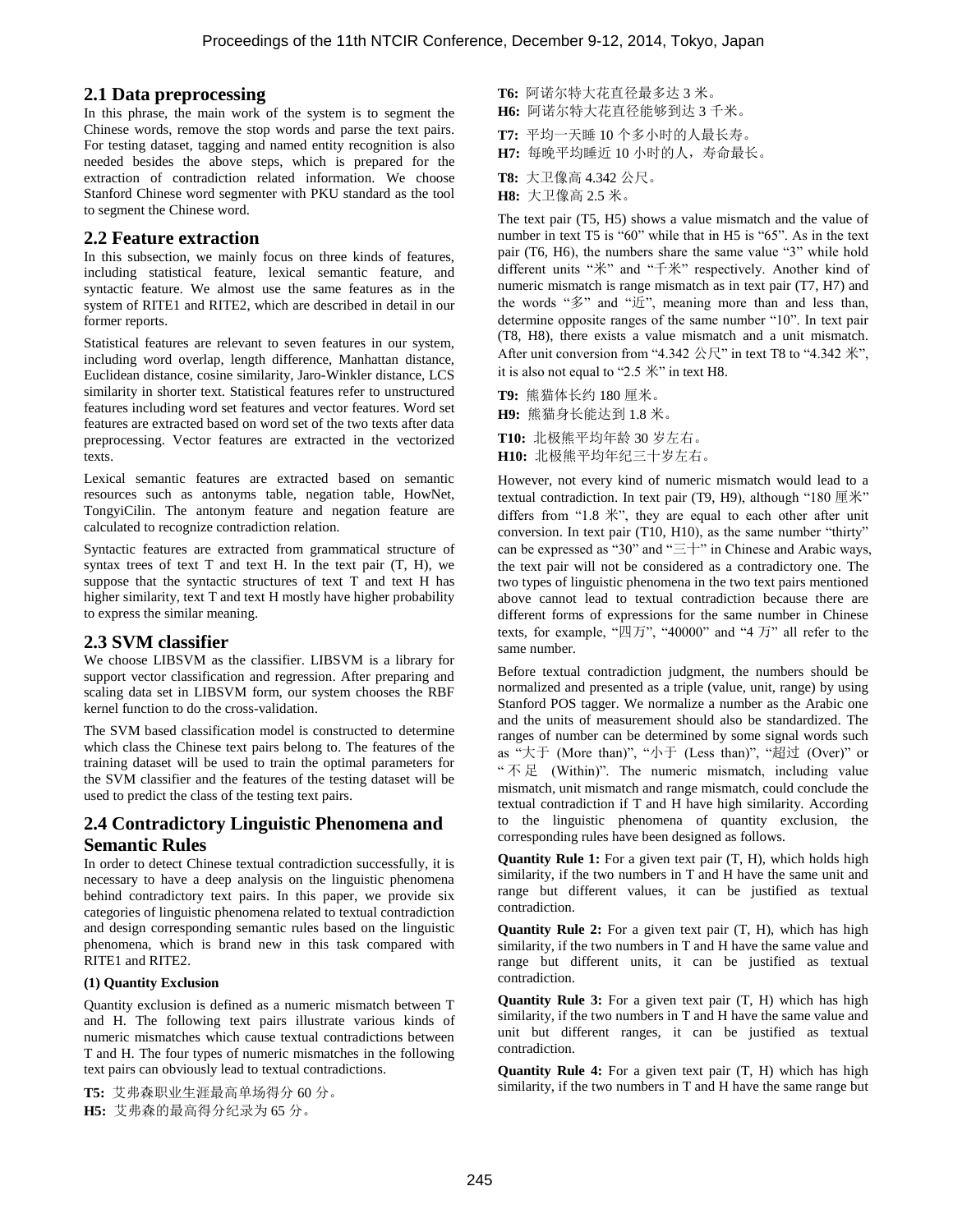## **2.1 Data preprocessing**

In this phrase, the main work of the system is to segment the Chinese words, remove the stop words and parse the text pairs. For testing dataset, tagging and named entity recognition is also needed besides the above steps, which is prepared for the extraction of contradiction related information. We choose Stanford Chinese word segmenter with PKU standard as the tool to segment the Chinese word.

## **2.2 Feature extraction**

In this subsection, we mainly focus on three kinds of features, including statistical feature, lexical semantic feature, and syntactic feature. We almost use the same features as in the system of RITE1 and RITE2, which are described in detail in our former reports.

Statistical features are relevant to seven features in our system, including word overlap, length difference, Manhattan distance, Euclidean distance, cosine similarity, Jaro-Winkler distance, LCS similarity in shorter text. Statistical features refer to unstructured features including word set features and vector features. Word set features are extracted based on word set of the two texts after data preprocessing. Vector features are extracted in the vectorized texts.

Lexical semantic features are extracted based on semantic resources such as antonyms table, negation table, HowNet, TongyiCilin. The antonym feature and negation feature are calculated to recognize contradiction relation.

Syntactic features are extracted from grammatical structure of syntax trees of text  $T$  and text  $H$ . In the text pair  $(T, H)$ , we suppose that the syntactic structures of text T and text H has higher similarity, text T and text H mostly have higher probability to express the similar meaning.

# **2.3 SVM classifier**

We choose LIBSVM as the classifier. LIBSVM is a library for support vector classification and regression. After preparing and scaling data set in LIBSVM form, our system chooses the RBF kernel function to do the cross-validation.

The SVM based classification model is constructed to determine which class the Chinese text pairs belong to. The features of the training dataset will be used to train the optimal parameters for the SVM classifier and the features of the testing dataset will be used to predict the class of the testing text pairs.

# **2.4 Contradictory Linguistic Phenomena and Semantic Rules**

In order to detect Chinese textual contradiction successfully, it is necessary to have a deep analysis on the linguistic phenomena behind contradictory text pairs. In this paper, we provide six categories of linguistic phenomena related to textual contradiction and design corresponding semantic rules based on the linguistic phenomena, which is brand new in this task compared with RITE1 and RITE2.

#### **(1) Quantity Exclusion**

Quantity exclusion is defined as a numeric mismatch between T and H. The following text pairs illustrate various kinds of numeric mismatches which cause textual contradictions between T and H. The four types of numeric mismatches in the following text pairs can obviously lead to textual contradictions.

**T5:** 艾弗森职业生涯最高单场得分 60 分。 **H5:** 艾弗森的最高得分纪录为 65 分。

- **T6:** 阿诺尔特大花直径最多达 3 米。 **H6:** 阿诺尔特大花直径能够到达 3 千米。
- **T7:** 平均一天睡 10 个多小时的人最长寿。
- **H7:** 每晚平均睡近 10 小时的人,寿命最长。
- **T8:** 大卫像高 4.342 公尺。
- **H8:** 大卫像高 2.5 米。

The text pair (T5, H5) shows a value mismatch and the value of number in text T5 is "60" while that in H5 is "65". As in the text pair (T6, H6), the numbers share the same value "3" while hold different units "米" and "千米" respectively. Another kind of numeric mismatch is range mismatch as in text pair (T7, H7) and the words "多" and "近", meaning more than and less than, determine opposite ranges of the same number "10". In text pair (T8, H8), there exists a value mismatch and a unit mismatch. After unit conversion from "4.342  $\& \mathbb{R}$ " in text T8 to "4.342  $\&$ ", it is also not equal to "2.5 米" in text H8.

**T9:** 熊猫体长约 180 厘米。 **H9:** 熊猫身长能达到 1.8 米。

**T10:** 北极熊平均年龄 30 岁左右。

**H10:** 北极熊平均年纪三十岁左右。

However, not every kind of numeric mismatch would lead to a textual contradiction. In text pair (T9, H9), although "180 厘米" differs from "1.8 米", they are equal to each other after unit conversion. In text pair (T10, H10), as the same number "thirty" can be expressed as "30" and "三十" in Chinese and Arabic ways, the text pair will not be considered as a contradictory one. The two types of linguistic phenomena in the two text pairs mentioned above cannot lead to textual contradiction because there are different forms of expressions for the same number in Chinese texts, for example, "四万", "40000" and "4 万" all refer to the same number.

Before textual contradiction judgment, the numbers should be normalized and presented as a triple (value, unit, range) by using Stanford POS tagger. We normalize a number as the Arabic one and the units of measurement should also be standardized. The ranges of number can be determined by some signal words such as "大于 (More than)", "小于 (Less than)", "超过 (Over)" or " $\overline{R}$  (Within)". The numeric mismatch, including value mismatch, unit mismatch and range mismatch, could conclude the textual contradiction if T and H have high similarity. According to the linguistic phenomena of quantity exclusion, the corresponding rules have been designed as follows.

**Quantity Rule 1:** For a given text pair (T, H), which holds high similarity, if the two numbers in T and H have the same unit and range but different values, it can be justified as textual contradiction.

**Quantity Rule 2:** For a given text pair (T, H), which has high similarity, if the two numbers in T and H have the same value and range but different units, it can be justified as textual contradiction.

**Quantity Rule 3:** For a given text pair (T, H) which has high similarity, if the two numbers in T and H have the same value and unit but different ranges, it can be justified as textual contradiction.

**Quantity Rule 4:** For a given text pair (T, H) which has high similarity, if the two numbers in T and H have the same range but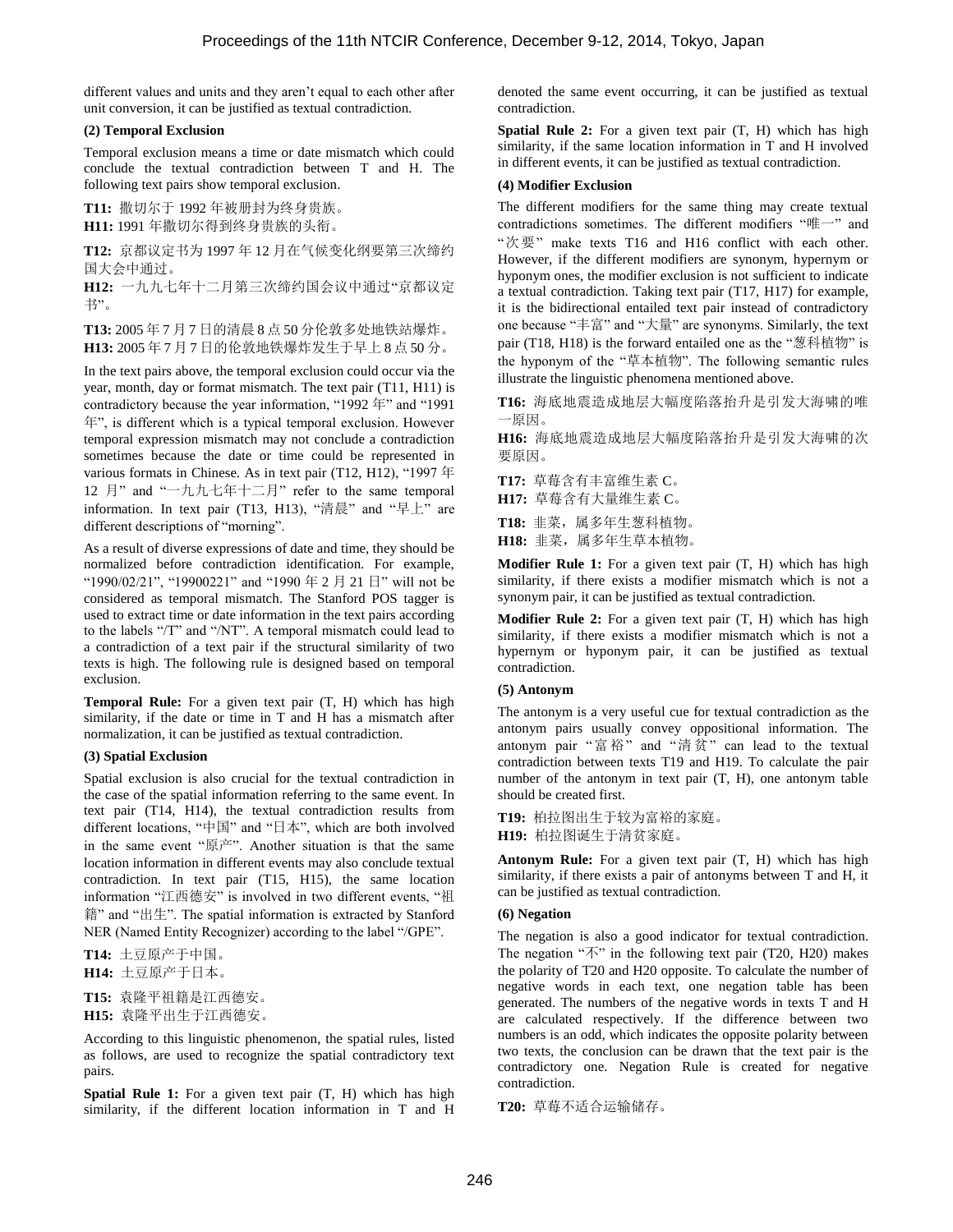different values and units and they aren't equal to each other after unit conversion, it can be justified as textual contradiction.

#### **(2) Temporal Exclusion**

Temporal exclusion means a time or date mismatch which could conclude the textual contradiction between T and H. The following text pairs show temporal exclusion.

**T11:** 撒切尔于 1992 年被册封为终身贵族。 **H11:** 1991 年撒切尔得到终身贵族的头衔。

**T12:** 京都议定书为 1997 年 12 月在气候变化纲要第三次缔约 国大会中通过。

**H12:** 一九九七年十二月第三次缔约国会议中通过"京都议定 书"。

**T13:** 2005 年 7 月 7 日的清晨 8 点 50 分伦敦多处地铁站爆炸。 **H13:** 2005 年 7 月 7 日的伦敦地铁爆炸发生于早上 8 点 50 分。

In the text pairs above, the temporal exclusion could occur via the year, month, day or format mismatch. The text pair (T11, H11) is contradictory because the year information, "1992 年" and "1991 年", is different which is a typical temporal exclusion. However temporal expression mismatch may not conclude a contradiction sometimes because the date or time could be represented in various formats in Chinese. As in text pair (T12, H12), "1997 年 12 月" and "一九九七年十二月" refer to the same temporal information. In text pair (T13, H13), "清晨" and "早上" are different descriptions of "morning".

As a result of diverse expressions of date and time, they should be normalized before contradiction identification. For example, "1990/02/21", "19900221" and "1990 年 2 月 21 日" will not be considered as temporal mismatch. The Stanford POS tagger is used to extract time or date information in the text pairs according to the labels "/T" and "/NT". A temporal mismatch could lead to a contradiction of a text pair if the structural similarity of two texts is high. The following rule is designed based on temporal exclusion.

**Temporal Rule:** For a given text pair (T, H) which has high similarity, if the date or time in T and H has a mismatch after normalization, it can be justified as textual contradiction.

#### **(3) Spatial Exclusion**

Spatial exclusion is also crucial for the textual contradiction in the case of the spatial information referring to the same event. In text pair (T14, H14), the textual contradiction results from different locations, "中国" and "日本", which are both involved in the same event "原产". Another situation is that the same location information in different events may also conclude textual contradiction. In text pair (T15, H15), the same location information "江西德安" is involved in two different events, "祖 籍" and "出生". The spatial information is extracted by Stanford NER (Named Entity Recognizer) according to the label "/GPE".

**T14:** 土豆原产于中国。 **H14:** 土豆原产于日本。

**T15:** 袁隆平祖籍是江西德安。

**H15:** 袁隆平出生于江西德安。

According to this linguistic phenomenon, the spatial rules, listed as follows, are used to recognize the spatial contradictory text pairs.

Spatial Rule 1: For a given text pair (T, H) which has high similarity, if the different location information in T and H denoted the same event occurring, it can be justified as textual contradiction.

**Spatial Rule 2:** For a given text pair (T, H) which has high similarity, if the same location information in T and H involved in different events, it can be justified as textual contradiction.

#### **(4) Modifier Exclusion**

The different modifiers for the same thing may create textual contradictions sometimes. The different modifiers "唯一" and "次要" make texts T16 and H16 conflict with each other. However, if the different modifiers are synonym, hypernym or hyponym ones, the modifier exclusion is not sufficient to indicate a textual contradiction. Taking text pair (T17, H17) for example, it is the bidirectional entailed text pair instead of contradictory one because "丰富" and "大量" are synonyms. Similarly, the text pair (T18, H18) is the forward entailed one as the "葱科植物" is the hyponym of the "草本植物". The following semantic rules illustrate the linguistic phenomena mentioned above.

**T16:** 海底地震造成地层大幅度陷落抬升是引发大海啸的唯 一原因。

**H16:** 海底地震造成地层大幅度陷落抬升是引发大海啸的次 要原因。

**T17:** 草莓含有丰富维生素 C。

**H17:** 草莓含有大量维生素 C。

**T18:** 韭菜,属多年生葱科植物。

H18: 韭菜, 属多年生草本植物。

**Modifier Rule 1:** For a given text pair (T, H) which has high similarity, if there exists a modifier mismatch which is not a synonym pair, it can be justified as textual contradiction.

**Modifier Rule 2:** For a given text pair (T, H) which has high similarity, if there exists a modifier mismatch which is not a hypernym or hyponym pair, it can be justified as textual contradiction.

### **(5) Antonym**

The antonym is a very useful cue for textual contradiction as the antonym pairs usually convey oppositional information. The antonym pair "富裕" and "清贫" can lead to the textual contradiction between texts T19 and H19. To calculate the pair number of the antonym in text pair (T, H), one antonym table should be created first.

**T19:** 柏拉图出生于较为富裕的家庭。 **H19:** 柏拉图诞生于清贫家庭。

**Antonym Rule:** For a given text pair (T, H) which has high similarity, if there exists a pair of antonyms between T and H, it can be justified as textual contradiction.

#### **(6) Negation**

The negation is also a good indicator for textual contradiction. The negation " $\overline{\wedge}$ " in the following text pair (T20, H20) makes the polarity of T20 and H20 opposite. To calculate the number of negative words in each text, one negation table has been generated. The numbers of the negative words in texts T and H are calculated respectively. If the difference between two numbers is an odd, which indicates the opposite polarity between two texts, the conclusion can be drawn that the text pair is the contradictory one. Negation Rule is created for negative contradiction.

**T20:** 草莓不适合运输储存。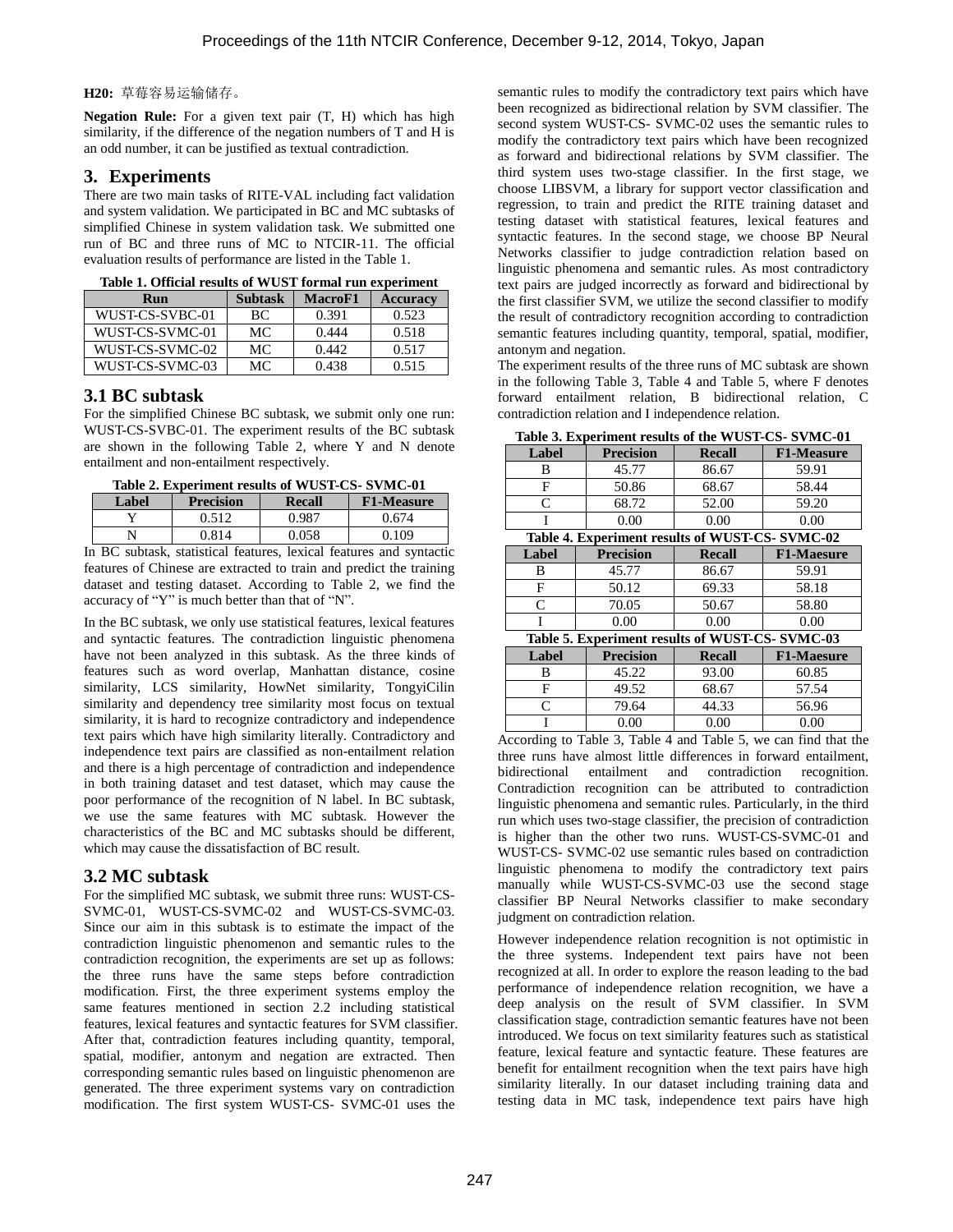#### **H20:** 草莓容易运输储存。

**Negation Rule:** For a given text pair (T, H) which has high similarity, if the difference of the negation numbers of T and H is an odd number, it can be justified as textual contradiction.

## **3. Experiments**

There are two main tasks of RITE-VAL including fact validation and system validation. We participated in BC and MC subtasks of simplified Chinese in system validation task. We submitted one run of BC and three runs of MC to NTCIR-11. The official evaluation results of performance are listed in the Table 1.

| Run             | <b>Subtask</b> | <b>MacroF1</b> | <b>Accuracy</b> |  |
|-----------------|----------------|----------------|-----------------|--|
| WUST-CS-SVBC-01 | ВC             | 0.391          | 0.523           |  |
| WUST-CS-SVMC-01 | MC.            | 0.444          | 0.518           |  |
| WUST-CS-SVMC-02 | MC.            | 0.442          | 0.517           |  |
| WUST-CS-SVMC-03 | MC.            | 0.438          | 0.515           |  |

**Table 1. Official results of WUST formal run experiment**

## **3.1 BC subtask**

For the simplified Chinese BC subtask, we submit only one run: WUST-CS-SVBC-01. The experiment results of the BC subtask are shown in the following Table 2, where Y and N denote entailment and non-entailment respectively.

| <u>AMDIV SI LADVI MIVIN I VOMNO VI TEVO I VO DETILO VA</u> |                  |               |                   |  |
|------------------------------------------------------------|------------------|---------------|-------------------|--|
| Label                                                      | <b>Precision</b> | <b>Recall</b> | <b>F1-Measure</b> |  |
|                                                            | ገ 512            | ገ ዓՋ7         | በ 674             |  |
|                                                            | 0.814            | 0.058         | 0.109             |  |
|                                                            | .                | .             |                   |  |

In BC subtask, statistical features, lexical features and syntactic features of Chinese are extracted to train and predict the training dataset and testing dataset. According to Table 2, we find the accuracy of "Y" is much better than that of "N".

In the BC subtask, we only use statistical features, lexical features and syntactic features. The contradiction linguistic phenomena have not been analyzed in this subtask. As the three kinds of features such as word overlap, Manhattan distance, cosine similarity, LCS similarity, HowNet similarity, TongyiCilin similarity and dependency tree similarity most focus on textual similarity, it is hard to recognize contradictory and independence text pairs which have high similarity literally. Contradictory and independence text pairs are classified as non-entailment relation and there is a high percentage of contradiction and independence in both training dataset and test dataset, which may cause the poor performance of the recognition of N label. In BC subtask, we use the same features with MC subtask. However the characteristics of the BC and MC subtasks should be different, which may cause the dissatisfaction of BC result.

## **3.2 MC subtask**

For the simplified MC subtask, we submit three runs: WUST-CS-SVMC-01, WUST-CS-SVMC-02 and WUST-CS-SVMC-03. Since our aim in this subtask is to estimate the impact of the contradiction linguistic phenomenon and semantic rules to the contradiction recognition, the experiments are set up as follows: the three runs have the same steps before contradiction modification. First, the three experiment systems employ the same features mentioned in section 2.2 including statistical features, lexical features and syntactic features for SVM classifier. After that, contradiction features including quantity, temporal, spatial, modifier, antonym and negation are extracted. Then corresponding semantic rules based on linguistic phenomenon are generated. The three experiment systems vary on contradiction modification. The first system WUST-CS- SVMC-01 uses the

semantic rules to modify the contradictory text pairs which have been recognized as bidirectional relation by SVM classifier. The second system WUST-CS- SVMC-02 uses the semantic rules to modify the contradictory text pairs which have been recognized as forward and bidirectional relations by SVM classifier. The third system uses two-stage classifier. In the first stage, we choose LIBSVM, a library for support vector classification and regression, to train and predict the RITE training dataset and testing dataset with statistical features, lexical features and syntactic features. In the second stage, we choose BP Neural Networks classifier to judge contradiction relation based on linguistic phenomena and semantic rules. As most contradictory text pairs are judged incorrectly as forward and bidirectional by the first classifier SVM, we utilize the second classifier to modify the result of contradictory recognition according to contradiction semantic features including quantity, temporal, spatial, modifier, antonym and negation.

The experiment results of the three runs of MC subtask are shown in the following Table 3, Table 4 and Table 5, where F denotes forward entailment relation, B bidirectional relation, C contradiction relation and I independence relation.

**Table 3. Experiment results of the WUST-CS- SVMC-01**

| Table 3. Experiment results of the WUST-CS-SVMC-01                                                                         |                  |               |                   |  |
|----------------------------------------------------------------------------------------------------------------------------|------------------|---------------|-------------------|--|
| Label                                                                                                                      | <b>Precision</b> | <b>Recall</b> | <b>F1-Measure</b> |  |
| В                                                                                                                          | 45.77            | 86.67         | 59.91             |  |
| F                                                                                                                          | 50.86            | 68.67         | 58.44             |  |
| C                                                                                                                          | 68.72            | 52.00         | 59.20             |  |
|                                                                                                                            | 0.00             | 0.00          | 0.00              |  |
| Table 4. Experiment results of WUST-CS-SVMC-02                                                                             |                  |               |                   |  |
| Label                                                                                                                      | <b>Precision</b> | <b>Recall</b> | <b>F1-Maesure</b> |  |
| В                                                                                                                          | 45.77            | 86.67         | 59.91             |  |
| F                                                                                                                          | 50.12            | 69.33         | 58.18             |  |
| C                                                                                                                          | 70.05            | 50.67         | 58.80             |  |
|                                                                                                                            | 0.00             | 0.00          | 0.00              |  |
| $\mathbf{m}$ ii $\mathbf{r}$ and $\mathbf{r}$ is a structure of<br>$C$ $\mathbf{I}$ $\mathbf{R}$ $\mathbf{A}$ $\mathbf{A}$ |                  |               |                   |  |

**Table 5. Experiment results of WUST-CS- SVMC-03**

| Label | <b>Precision</b> | <b>Recall</b> | <b>F1-Maesure</b> |
|-------|------------------|---------------|-------------------|
|       | 45.22            | 93.00         | 60.85             |
|       | 49.52            | 68.67         | 57.54             |
|       | 79.64            | 44.33         | 56.96             |
|       |                  |               |                   |

According to Table 3, Table 4 and Table 5, we can find that the three runs have almost little differences in forward entailment, bidirectional entailment and contradiction recognition. Contradiction recognition can be attributed to contradiction linguistic phenomena and semantic rules. Particularly, in the third run which uses two-stage classifier, the precision of contradiction is higher than the other two runs. WUST-CS-SVMC-01 and WUST-CS- SVMC-02 use semantic rules based on contradiction linguistic phenomena to modify the contradictory text pairs manually while WUST-CS-SVMC-03 use the second stage classifier BP Neural Networks classifier to make secondary judgment on contradiction relation.

However independence relation recognition is not optimistic in the three systems. Independent text pairs have not been recognized at all. In order to explore the reason leading to the bad performance of independence relation recognition, we have a deep analysis on the result of SVM classifier. In SVM classification stage, contradiction semantic features have not been introduced. We focus on text similarity features such as statistical feature, lexical feature and syntactic feature. These features are benefit for entailment recognition when the text pairs have high similarity literally. In our dataset including training data and testing data in MC task, independence text pairs have high